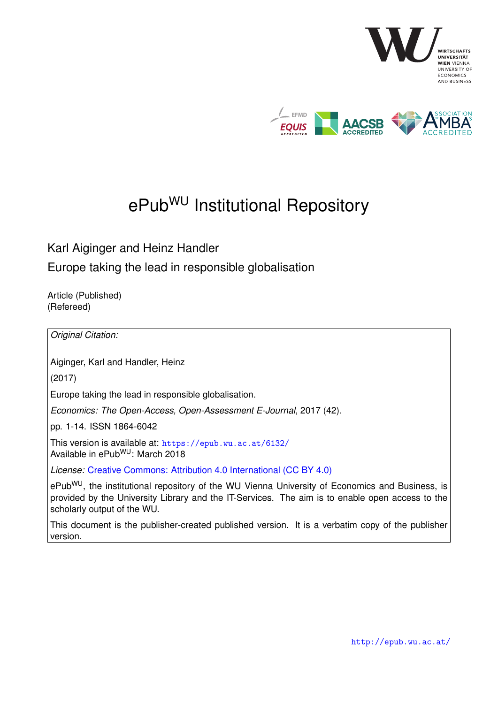

# ePub<sup>WU</sup> Institutional Repository

Karl Aiginger and Heinz Handler

Europe taking the lead in responsible globalisation

Article (Published) (Refereed)

*Original Citation:*

Aiginger, Karl and Handler, Heinz

(2017)

Europe taking the lead in responsible globalisation.

*Economics: The Open-Access, Open-Assessment E-Journal*, 2017 (42).

pp. 1-14. ISSN 1864-6042

This version is available at: <https://epub.wu.ac.at/6132/> Available in ePubWU: March 2018

*License:* [Creative Commons: Attribution 4.0 International \(CC BY 4.0\)](https://creativecommons.org/licenses/by/4.0/deed.en)

ePub<sup>WU</sup>, the institutional repository of the WU Vienna University of Economics and Business, is provided by the University Library and the IT-Services. The aim is to enable open access to the scholarly output of the WU.

This document is the publisher-created published version. It is a verbatim copy of the publisher version.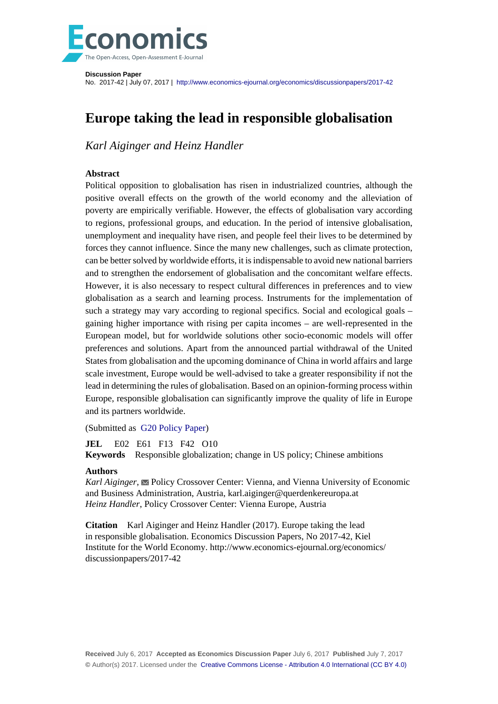

**Discussion Paper** No. 2017-42 | July 07, 2017 | <http://www.economics-ejournal.org/economics/discussionpapers/2017-42>

## **Europe taking the lead in responsible globalisation**

*Karl Aiginger and Heinz Handler*

#### **Abstract**

Political opposition to globalisation has risen in industrialized countries, although the positive overall effects on the growth of the world economy and the alleviation of poverty are empirically verifiable. However, the effects of globalisation vary according to regions, professional groups, and education. In the period of intensive globalisation, unemployment and inequality have risen, and people feel their lives to be determined by forces they cannot influence. Since the many new challenges, such as climate protection, can be better solved by worldwide efforts, it is indispensable to avoid new national barriers and to strengthen the endorsement of globalisation and the concomitant welfare effects. However, it is also necessary to respect cultural differences in preferences and to view globalisation as a search and learning process. Instruments for the implementation of such a strategy may vary according to regional specifics. Social and ecological goals – gaining higher importance with rising per capita incomes – are well-represented in the European model, but for worldwide solutions other socio-economic models will offer preferences and solutions. Apart from the announced partial withdrawal of the United States from globalisation and the upcoming dominance of China in world affairs and large scale investment, Europe would be well-advised to take a greater responsibility if not the lead in determining the rules of globalisation. Based on an opinion-forming process within Europe, responsible globalisation can significantly improve the quality of life in Europe and its partners worldwide.

(Submitted as [G20 Policy Paper\)](http://www.economics-ejournal.org/special-areas/g20-policy-papers)

**JEL** E02 E61 F13 F42 O10 **Keywords** Responsible globalization; change in US policy; Chinese ambitions

#### **Authors**

*Karl Aiginger*, **Policy Crossover Center: Vienna, and Vienna University of Economic** and Business Administration, Austria, karl.aiginger@querdenkereuropa.at *Heinz Handler*, Policy Crossover Center: Vienna Europe, Austria

**Citation** Karl Aiginger and Heinz Handler (2017). Europe taking the lead in responsible globalisation. Economics Discussion Papers, No 2017-42, Kiel Institute for the World Economy. http://www.economics-ejournal.org/economics/ discussionpapers/2017-42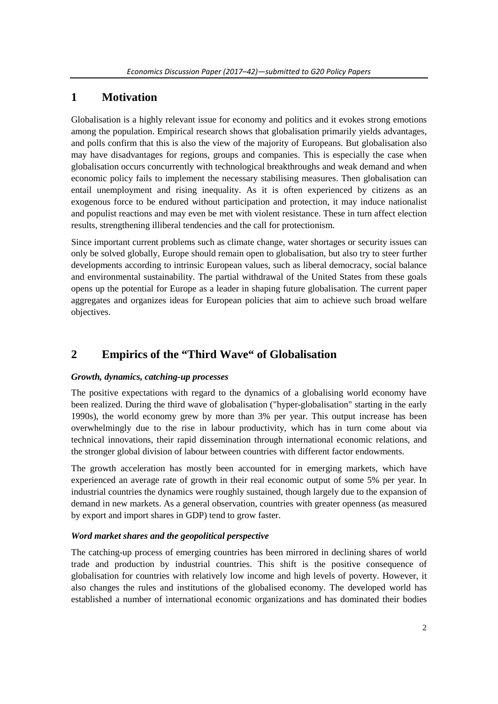## **1 Motivation**

Globalisation is a highly relevant issue for economy and politics and it evokes strong emotions among the population. Empirical research shows that globalisation primarily yields advantages, and polls confirm that this is also the view of the majority of Europeans. But globalisation also may have disadvantages for regions, groups and companies. This is especially the case when globalisation occurs concurrently with technological breakthroughs and weak demand and when economic policy fails to implement the necessary stabilising measures. Then globalisation can entail unemployment and rising inequality. As it is often experienced by citizens as an exogenous force to be endured without participation and protection, it may induce nationalist and populist reactions and may even be met with violent resistance. These in turn affect election results, strengthening illiberal tendencies and the call for protectionism.

Since important current problems such as climate change, water shortages or security issues can only be solved globally, Europe should remain open to globalisation, but also try to steer further developments according to intrinsic European values, such as liberal democracy, social balance and environmental sustainability. The partial withdrawal of the United States from these goals opens up the potential for Europe as a leader in shaping future globalisation. The current paper aggregates and organizes ideas for European policies that aim to achieve such broad welfare objectives.

## **2 Empirics of the "Third Wave" of Globalisation**

#### *Growth, dynamics, catching-up processes*

The positive expectations with regard to the dynamics of a globalising world economy have been realized. During the third wave of globalisation ("hyper-globalisation" starting in the early 1990s), the world economy grew by more than 3% per year. This output increase has been overwhelmingly due to the rise in labour productivity, which has in turn come about via technical innovations, their rapid dissemination through international economic relations, and the stronger global division of labour between countries with different factor endowments.

The growth acceleration has mostly been accounted for in emerging markets, which have experienced an average rate of growth in their real economic output of some 5% per year. In industrial countries the dynamics were roughly sustained, though largely due to the expansion of demand in new markets. As a general observation, countries with greater openness (as measured by export and import shares in GDP) tend to grow faster.

#### *Word market shares and the geopolitical perspective*

The catching-up process of emerging countries has been mirrored in declining shares of world trade and production by industrial countries. This shift is the positive consequence of globalisation for countries with relatively low income and high levels of poverty. However, it also changes the rules and institutions of the globalised economy. The developed world has established a number of international economic organizations and has dominated their bodies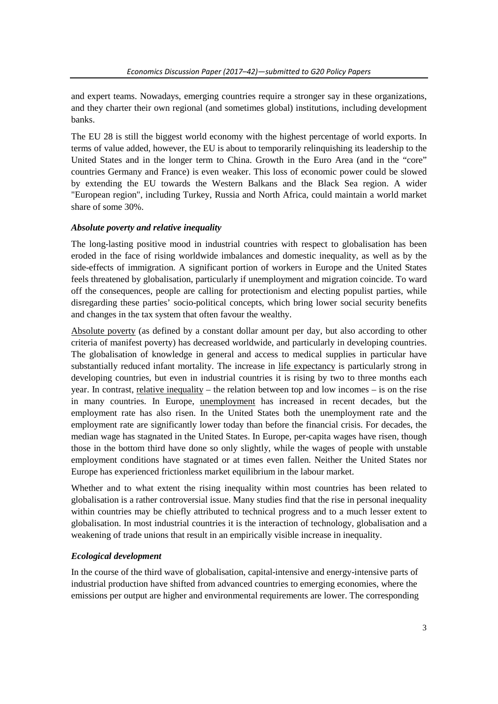and expert teams. Nowadays, emerging countries require a stronger say in these organizations, and they charter their own regional (and sometimes global) institutions, including development banks.

The EU 28 is still the biggest world economy with the highest percentage of world exports. In terms of value added, however, the EU is about to temporarily relinquishing its leadership to the United States and in the longer term to China. Growth in the Euro Area (and in the "core" countries Germany and France) is even weaker. This loss of economic power could be slowed by extending the EU towards the Western Balkans and the Black Sea region. A wider "European region", including Turkey, Russia and North Africa, could maintain a world market share of some 30%.

#### *Absolute poverty and relative inequality*

The long-lasting positive mood in industrial countries with respect to globalisation has been eroded in the face of rising worldwide imbalances and domestic inequality, as well as by the side-effects of immigration. A significant portion of workers in Europe and the United States feels threatened by globalisation, particularly if unemployment and migration coincide. To ward off the consequences, people are calling for protectionism and electing populist parties, while disregarding these parties' socio-political concepts, which bring lower social security benefits and changes in the tax system that often favour the wealthy.

Absolute poverty (as defined by a constant dollar amount per day, but also according to other criteria of manifest poverty) has decreased worldwide, and particularly in developing countries. The globalisation of knowledge in general and access to medical supplies in particular have substantially reduced infant mortality. The increase in life expectancy is particularly strong in developing countries, but even in industrial countries it is rising by two to three months each year. In contrast, relative inequality – the relation between top and low incomes – is on the rise in many countries. In Europe, unemployment has increased in recent decades, but the employment rate has also risen. In the United States both the unemployment rate and the employment rate are significantly lower today than before the financial crisis. For decades, the median wage has stagnated in the United States. In Europe, per-capita wages have risen, though those in the bottom third have done so only slightly, while the wages of people with unstable employment conditions have stagnated or at times even fallen. Neither the United States nor Europe has experienced frictionless market equilibrium in the labour market.

Whether and to what extent the rising inequality within most countries has been related to globalisation is a rather controversial issue. Many studies find that the rise in personal inequality within countries may be chiefly attributed to technical progress and to a much lesser extent to globalisation. In most industrial countries it is the interaction of technology, globalisation and a weakening of trade unions that result in an empirically visible increase in inequality.

#### *Ecological development*

In the course of the third wave of globalisation, capital-intensive and energy-intensive parts of industrial production have shifted from advanced countries to emerging economies, where the emissions per output are higher and environmental requirements are lower. The corresponding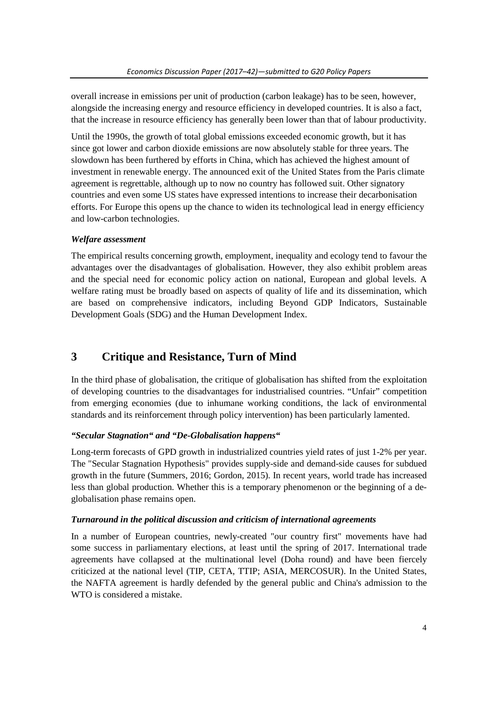overall increase in emissions per unit of production (carbon leakage) has to be seen, however, alongside the increasing energy and resource efficiency in developed countries. It is also a fact, that the increase in resource efficiency has generally been lower than that of labour productivity.

Until the 1990s, the growth of total global emissions exceeded economic growth, but it has since got lower and carbon dioxide emissions are now absolutely stable for three years. The slowdown has been furthered by efforts in China, which has achieved the highest amount of investment in renewable energy. The announced exit of the United States from the Paris climate agreement is regrettable, although up to now no country has followed suit. Other signatory countries and even some US states have expressed intentions to increase their decarbonisation efforts. For Europe this opens up the chance to widen its technological lead in energy efficiency and low-carbon technologies.

#### *Welfare assessment*

The empirical results concerning growth, employment, inequality and ecology tend to favour the advantages over the disadvantages of globalisation. However, they also exhibit problem areas and the special need for economic policy action on national, European and global levels. A welfare rating must be broadly based on aspects of quality of life and its dissemination, which are based on comprehensive indicators, including Beyond GDP Indicators, Sustainable Development Goals (SDG) and the Human Development Index.

## **3 Critique and Resistance, Turn of Mind**

In the third phase of globalisation, the critique of globalisation has shifted from the exploitation of developing countries to the disadvantages for industrialised countries. "Unfair" competition from emerging economies (due to inhumane working conditions, the lack of environmental standards and its reinforcement through policy intervention) has been particularly lamented.

#### *"Secular Stagnation" and "De-Globalisation happens"*

Long-term forecasts of GPD growth in industrialized countries yield rates of just 1-2% per year. The "Secular Stagnation Hypothesis" provides supply-side and demand-side causes for subdued growth in the future (Summers, 2016; Gordon, 2015). In recent years, world trade has increased less than global production. Whether this is a temporary phenomenon or the beginning of a deglobalisation phase remains open.

#### *Turnaround in the political discussion and criticism of international agreements*

In a number of European countries, newly-created "our country first" movements have had some success in parliamentary elections, at least until the spring of 2017. International trade agreements have collapsed at the multinational level (Doha round) and have been fiercely criticized at the national level (TIP, CETA, TTIP; ASIA, MERCOSUR). In the United States, the NAFTA agreement is hardly defended by the general public and China's admission to the WTO is considered a mistake.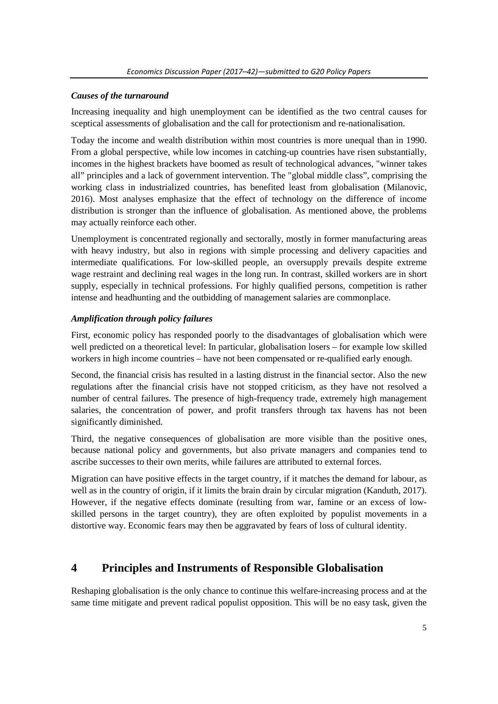#### *Causes of the turnaround*

Increasing inequality and high unemployment can be identified as the two central causes for sceptical assessments of globalisation and the call for protectionism and re-nationalisation.

Today the income and wealth distribution within most countries is more unequal than in 1990. From a global perspective, while low incomes in catching-up countries have risen substantially, incomes in the highest brackets have boomed as result of technological advances, "winner takes all" principles and a lack of government intervention. The "global middle class", comprising the working class in industrialized countries, has benefited least from globalisation (Milanovic, 2016). Most analyses emphasize that the effect of technology on the difference of income distribution is stronger than the influence of globalisation. As mentioned above, the problems may actually reinforce each other.

Unemployment is concentrated regionally and sectorally, mostly in former manufacturing areas with heavy industry, but also in regions with simple processing and delivery capacities and intermediate qualifications. For low-skilled people, an oversupply prevails despite extreme wage restraint and declining real wages in the long run. In contrast, skilled workers are in short supply, especially in technical professions. For highly qualified persons, competition is rather intense and headhunting and the outbidding of management salaries are commonplace.

#### *Amplification through policy failures*

First, economic policy has responded poorly to the disadvantages of globalisation which were well predicted on a theoretical level: In particular, globalisation losers – for example low skilled workers in high income countries – have not been compensated or re-qualified early enough.

Second, the financial crisis has resulted in a lasting distrust in the financial sector. Also the new regulations after the financial crisis have not stopped criticism, as they have not resolved a number of central failures. The presence of high-frequency trade, extremely high management salaries, the concentration of power, and profit transfers through tax havens has not been significantly diminished.

Third, the negative consequences of globalisation are more visible than the positive ones, because national policy and governments, but also private managers and companies tend to ascribe successes to their own merits, while failures are attributed to external forces.

Migration can have positive effects in the target country, if it matches the demand for labour, as well as in the country of origin, if it limits the brain drain by circular migration (Kanduth, 2017). However, if the negative effects dominate (resulting from war, famine or an excess of lowskilled persons in the target country), they are often exploited by populist movements in a distortive way. Economic fears may then be aggravated by fears of loss of cultural identity.

### **4 Principles and Instruments of Responsible Globalisation**

Reshaping globalisation is the only chance to continue this welfare-increasing process and at the same time mitigate and prevent radical populist opposition. This will be no easy task, given the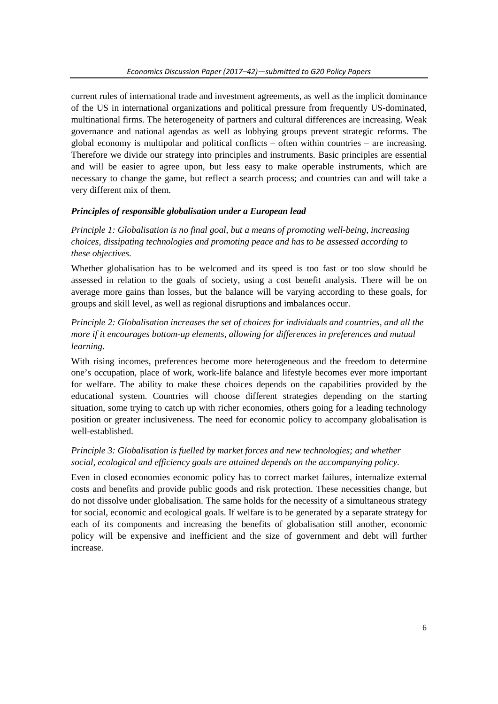current rules of international trade and investment agreements, as well as the implicit dominance of the US in international organizations and political pressure from frequently US-dominated, multinational firms. The heterogeneity of partners and cultural differences are increasing. Weak governance and national agendas as well as lobbying groups prevent strategic reforms. The global economy is multipolar and political conflicts – often within countries – are increasing. Therefore we divide our strategy into principles and instruments. Basic principles are essential and will be easier to agree upon, but less easy to make operable instruments, which are necessary to change the game, but reflect a search process; and countries can and will take a very different mix of them.

#### *Principles of responsible globalisation under a European lead*

*Principle 1: Globalisation is no final goal, but a means of promoting well-being, increasing choices, dissipating technologies and promoting peace and has to be assessed according to these objectives.*

Whether globalisation has to be welcomed and its speed is too fast or too slow should be assessed in relation to the goals of society, using a cost benefit analysis. There will be on average more gains than losses, but the balance will be varying according to these goals, for groups and skill level, as well as regional disruptions and imbalances occur.

#### *Principle 2: Globalisation increases the set of choices for individuals and countries, and all the more if it encourages bottom-up elements, allowing for differences in preferences and mutual learning.*

With rising incomes, preferences become more heterogeneous and the freedom to determine one's occupation, place of work, work-life balance and lifestyle becomes ever more important for welfare. The ability to make these choices depends on the capabilities provided by the educational system. Countries will choose different strategies depending on the starting situation, some trying to catch up with richer economies, others going for a leading technology position or greater inclusiveness. The need for economic policy to accompany globalisation is well-established.

#### *Principle 3: Globalisation is fuelled by market forces and new technologies; and whether social, ecological and efficiency goals are attained depends on the accompanying policy.*

Even in closed economies economic policy has to correct market failures, internalize external costs and benefits and provide public goods and risk protection. These necessities change, but do not dissolve under globalisation. The same holds for the necessity of a simultaneous strategy for social, economic and ecological goals. If welfare is to be generated by a separate strategy for each of its components and increasing the benefits of globalisation still another, economic policy will be expensive and inefficient and the size of government and debt will further increase.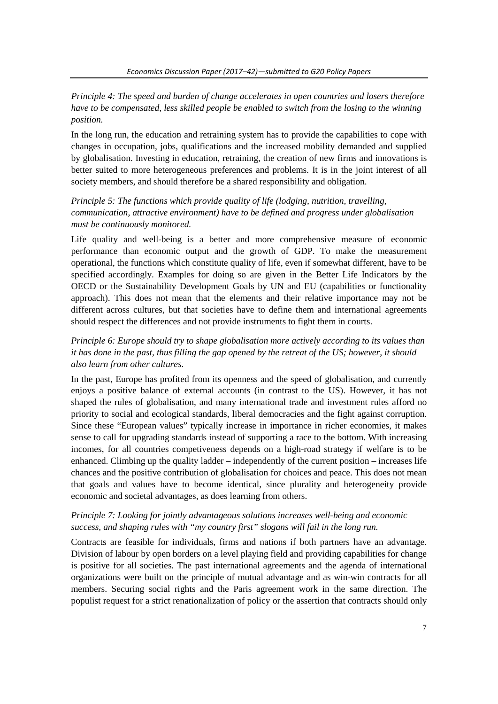*Principle 4: The speed and burden of change accelerates in open countries and losers therefore have to be compensated, less skilled people be enabled to switch from the losing to the winning position.*

In the long run, the education and retraining system has to provide the capabilities to cope with changes in occupation, jobs, qualifications and the increased mobility demanded and supplied by globalisation. Investing in education, retraining, the creation of new firms and innovations is better suited to more heterogeneous preferences and problems. It is in the joint interest of all society members, and should therefore be a shared responsibility and obligation.

*Principle 5: The functions which provide quality of life (lodging, nutrition, travelling, communication, attractive environment) have to be defined and progress under globalisation must be continuously monitored.*

Life quality and well-being is a better and more comprehensive measure of economic performance than economic output and the growth of GDP. To make the measurement operational, the functions which constitute quality of life, even if somewhat different, have to be specified accordingly. Examples for doing so are given in the Better Life Indicators by the OECD or the Sustainability Development Goals by UN and EU (capabilities or functionality approach). This does not mean that the elements and their relative importance may not be different across cultures, but that societies have to define them and international agreements should respect the differences and not provide instruments to fight them in courts.

#### *Principle 6: Europe should try to shape globalisation more actively according to its values than it has done in the past, thus filling the gap opened by the retreat of the US; however, it should also learn from other cultures.*

In the past, Europe has profited from its openness and the speed of globalisation, and currently enjoys a positive balance of external accounts (in contrast to the US). However, it has not shaped the rules of globalisation, and many international trade and investment rules afford no priority to social and ecological standards, liberal democracies and the fight against corruption. Since these "European values" typically increase in importance in richer economies, it makes sense to call for upgrading standards instead of supporting a race to the bottom. With increasing incomes, for all countries competiveness depends on a high-road strategy if welfare is to be enhanced. Climbing up the quality ladder – independently of the current position – increases life chances and the positive contribution of globalisation for choices and peace. This does not mean that goals and values have to become identical, since plurality and heterogeneity provide economic and societal advantages, as does learning from others.

#### *Principle 7: Looking for jointly advantageous solutions increases well-being and economic success, and shaping rules with "my country first" slogans will fail in the long run.*

Contracts are feasible for individuals, firms and nations if both partners have an advantage. Division of labour by open borders on a level playing field and providing capabilities for change is positive for all societies. The past international agreements and the agenda of international organizations were built on the principle of mutual advantage and as win-win contracts for all members. Securing social rights and the Paris agreement work in the same direction. The populist request for a strict renationalization of policy or the assertion that contracts should only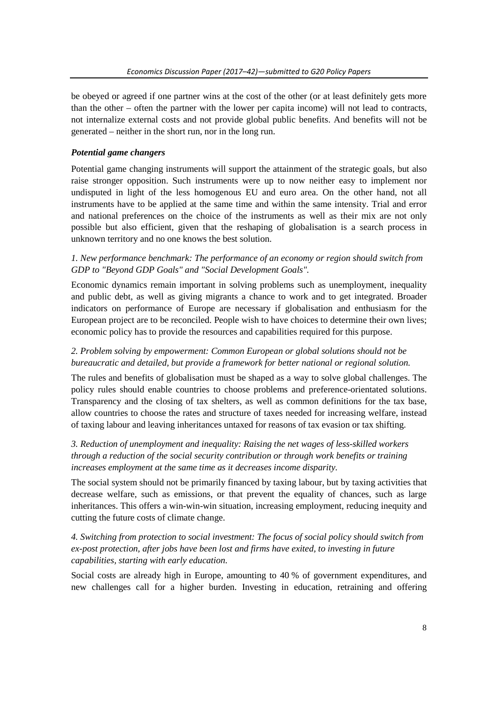be obeyed or agreed if one partner wins at the cost of the other (or at least definitely gets more than the other – often the partner with the lower per capita income) will not lead to contracts, not internalize external costs and not provide global public benefits. And benefits will not be generated – neither in the short run, nor in the long run.

#### *Potential game changers*

Potential game changing instruments will support the attainment of the strategic goals, but also raise stronger opposition. Such instruments were up to now neither easy to implement nor undisputed in light of the less homogenous EU and euro area. On the other hand, not all instruments have to be applied at the same time and within the same intensity. Trial and error and national preferences on the choice of the instruments as well as their mix are not only possible but also efficient, given that the reshaping of globalisation is a search process in unknown territory and no one knows the best solution.

#### *1. New performance benchmark: The performance of an economy or region should switch from GDP to "Beyond GDP Goals" and "Social Development Goals".*

Economic dynamics remain important in solving problems such as unemployment, inequality and public debt, as well as giving migrants a chance to work and to get integrated. Broader indicators on performance of Europe are necessary if globalisation and enthusiasm for the European project are to be reconciled. People wish to have choices to determine their own lives; economic policy has to provide the resources and capabilities required for this purpose.

#### *2. Problem solving by empowerment: Common European or global solutions should not be bureaucratic and detailed, but provide a framework for better national or regional solution.*

The rules and benefits of globalisation must be shaped as a way to solve global challenges. The policy rules should enable countries to choose problems and preference-orientated solutions. Transparency and the closing of tax shelters, as well as common definitions for the tax base, allow countries to choose the rates and structure of taxes needed for increasing welfare, instead of taxing labour and leaving inheritances untaxed for reasons of tax evasion or tax shifting.

#### *3. Reduction of unemployment and inequality: Raising the net wages of less-skilled workers through a reduction of the social security contribution or through work benefits or training increases employment at the same time as it decreases income disparity.*

The social system should not be primarily financed by taxing labour, but by taxing activities that decrease welfare, such as emissions, or that prevent the equality of chances, such as large inheritances. This offers a win-win-win situation, increasing employment, reducing inequity and cutting the future costs of climate change.

#### *4. Switching from protection to social investment: The focus of social policy should switch from ex-post protection, after jobs have been lost and firms have exited, to investing in future capabilities, starting with early education.*

Social costs are already high in Europe, amounting to 40 % of government expenditures, and new challenges call for a higher burden. Investing in education, retraining and offering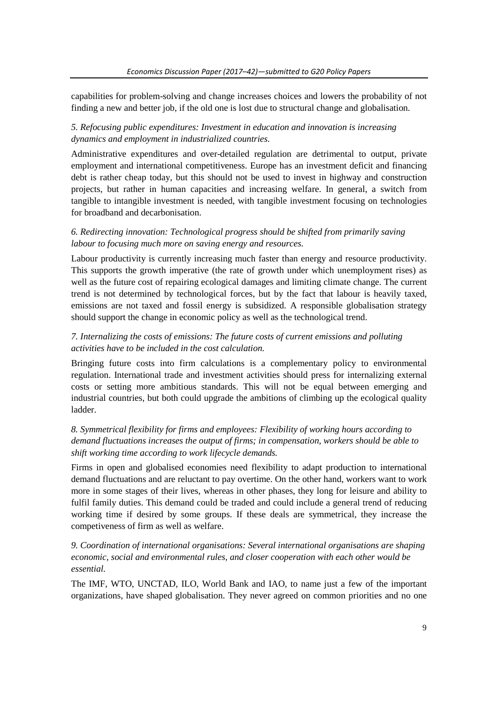capabilities for problem-solving and change increases choices and lowers the probability of not finding a new and better job, if the old one is lost due to structural change and globalisation.

#### *5. Refocusing public expenditures: Investment in education and innovation is increasing dynamics and employment in industrialized countries.*

Administrative expenditures and over-detailed regulation are detrimental to output, private employment and international competitiveness. Europe has an investment deficit and financing debt is rather cheap today, but this should not be used to invest in highway and construction projects, but rather in human capacities and increasing welfare. In general, a switch from tangible to intangible investment is needed, with tangible investment focusing on technologies for broadband and decarbonisation.

#### *6. Redirecting innovation: Technological progress should be shifted from primarily saving labour to focusing much more on saving energy and resources.*

Labour productivity is currently increasing much faster than energy and resource productivity. This supports the growth imperative (the rate of growth under which unemployment rises) as well as the future cost of repairing ecological damages and limiting climate change. The current trend is not determined by technological forces, but by the fact that labour is heavily taxed, emissions are not taxed and fossil energy is subsidized. A responsible globalisation strategy should support the change in economic policy as well as the technological trend.

#### *7. Internalizing the costs of emissions: The future costs of current emissions and polluting activities have to be included in the cost calculation.*

Bringing future costs into firm calculations is a complementary policy to environmental regulation. International trade and investment activities should press for internalizing external costs or setting more ambitious standards. This will not be equal between emerging and industrial countries, but both could upgrade the ambitions of climbing up the ecological quality ladder.

#### *8. Symmetrical flexibility for firms and employees: Flexibility of working hours according to demand fluctuations increases the output of firms; in compensation, workers should be able to shift working time according to work lifecycle demands.*

Firms in open and globalised economies need flexibility to adapt production to international demand fluctuations and are reluctant to pay overtime. On the other hand, workers want to work more in some stages of their lives, whereas in other phases, they long for leisure and ability to fulfil family duties. This demand could be traded and could include a general trend of reducing working time if desired by some groups. If these deals are symmetrical, they increase the competiveness of firm as well as welfare.

*9. Coordination of international organisations: Several international organisations are shaping economic, social and environmental rules, and closer cooperation with each other would be essential.*

The IMF, WTO, UNCTAD, ILO, World Bank and IAO, to name just a few of the important organizations, have shaped globalisation. They never agreed on common priorities and no one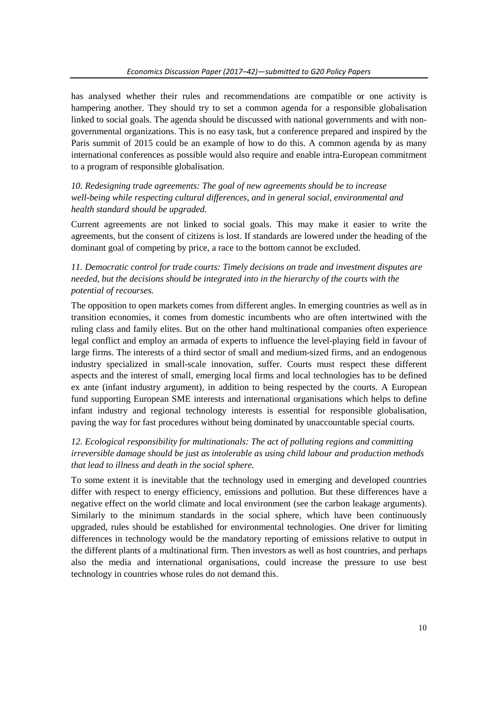has analysed whether their rules and recommendations are compatible or one activity is hampering another. They should try to set a common agenda for a responsible globalisation linked to social goals. The agenda should be discussed with national governments and with nongovernmental organizations. This is no easy task, but a conference prepared and inspired by the Paris summit of 2015 could be an example of how to do this. A common agenda by as many international conferences as possible would also require and enable intra-European commitment to a program of responsible globalisation.

#### *10. Redesigning trade agreements: The goal of new agreements should be to increase well-being while respecting cultural differences, and in general social, environmental and health standard should be upgraded.*

Current agreements are not linked to social goals. This may make it easier to write the agreements, but the consent of citizens is lost. If standards are lowered under the heading of the dominant goal of competing by price, a race to the bottom cannot be excluded.

#### *11. Democratic control for trade courts: Timely decisions on trade and investment disputes are needed, but the decisions should be integrated into in the hierarchy of the courts with the potential of recourses.*

The opposition to open markets comes from different angles. In emerging countries as well as in transition economies, it comes from domestic incumbents who are often intertwined with the ruling class and family elites. But on the other hand multinational companies often experience legal conflict and employ an armada of experts to influence the level-playing field in favour of large firms. The interests of a third sector of small and medium-sized firms, and an endogenous industry specialized in small-scale innovation, suffer. Courts must respect these different aspects and the interest of small, emerging local firms and local technologies has to be defined ex ante (infant industry argument), in addition to being respected by the courts. A European fund supporting European SME interests and international organisations which helps to define infant industry and regional technology interests is essential for responsible globalisation, paving the way for fast procedures without being dominated by unaccountable special courts.

#### *12. Ecological responsibility for multinationals: The act of polluting regions and committing irreversible damage should be just as intolerable as using child labour and production methods that lead to illness and death in the social sphere.*

To some extent it is inevitable that the technology used in emerging and developed countries differ with respect to energy efficiency, emissions and pollution. But these differences have a negative effect on the world climate and local environment (see the carbon leakage arguments). Similarly to the minimum standards in the social sphere, which have been continuously upgraded, rules should be established for environmental technologies. One driver for limiting differences in technology would be the mandatory reporting of emissions relative to output in the different plants of a multinational firm. Then investors as well as host countries, and perhaps also the media and international organisations, could increase the pressure to use best technology in countries whose rules do not demand this.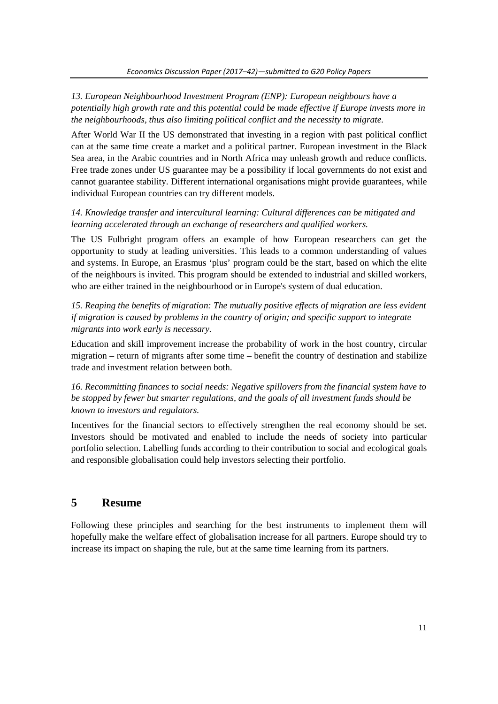#### *13. European Neighbourhood Investment Program (ENP): European neighbours have a potentially high growth rate and this potential could be made effective if Europe invests more in the neighbourhoods, thus also limiting political conflict and the necessity to migrate.*

After World War II the US demonstrated that investing in a region with past political conflict can at the same time create a market and a political partner. European investment in the Black Sea area, in the Arabic countries and in North Africa may unleash growth and reduce conflicts. Free trade zones under US guarantee may be a possibility if local governments do not exist and cannot guarantee stability. Different international organisations might provide guarantees, while individual European countries can try different models.

#### *14. Knowledge transfer and intercultural learning: Cultural differences can be mitigated and learning accelerated through an exchange of researchers and qualified workers.*

The US Fulbright program offers an example of how European researchers can get the opportunity to study at leading universities. This leads to a common understanding of values and systems. In Europe, an Erasmus 'plus' program could be the start, based on which the elite of the neighbours is invited. This program should be extended to industrial and skilled workers, who are either trained in the neighbourhood or in Europe's system of dual education.

*15. Reaping the benefits of migration: The mutually positive effects of migration are less evident if migration is caused by problems in the country of origin; and specific support to integrate migrants into work early is necessary.*

Education and skill improvement increase the probability of work in the host country, circular migration – return of migrants after some time – benefit the country of destination and stabilize trade and investment relation between both.

*16. Recommitting finances to social needs: Negative spillovers from the financial system have to be stopped by fewer but smarter regulations, and the goals of all investment funds should be known to investors and regulators.*

Incentives for the financial sectors to effectively strengthen the real economy should be set. Investors should be motivated and enabled to include the needs of society into particular portfolio selection. Labelling funds according to their contribution to social and ecological goals and responsible globalisation could help investors selecting their portfolio.

## **5 Resume**

Following these principles and searching for the best instruments to implement them will hopefully make the welfare effect of globalisation increase for all partners. Europe should try to increase its impact on shaping the rule, but at the same time learning from its partners.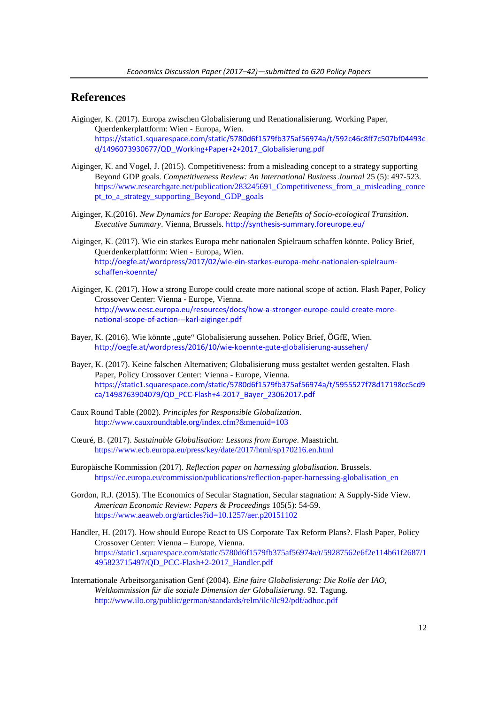#### **References**

- Aiginger, K. (2017). Europa zwischen Globalisierung und Renationalisierung. Working Paper, Querdenkerplattform: Wien - Europa, Wien. [https://static1.squarespace.com/static/5780d6f1579fb375af56974a/t/592c46c8ff7c507bf04493c](https://static1.squarespace.com/static/5780d6f1579fb375af56974a/t/592c46c8ff7c507bf04493cd/1496073930677/QD_Working+Paper+2+2017_Globalisierung.pdf) [d/1496073930677/QD\\_Working+Paper+2+2017\\_Globalisierung.pdf](https://static1.squarespace.com/static/5780d6f1579fb375af56974a/t/592c46c8ff7c507bf04493cd/1496073930677/QD_Working+Paper+2+2017_Globalisierung.pdf)
- Aiginger, K. and Vogel, J. (2015). Competitiveness: from a misleading concept to a strategy supporting Beyond GDP goals. *Competitiveness Review: An International Business Journal* 25 (5): 497-523. [https://www.researchgate.net/publication/283245691\\_Competitiveness\\_from\\_a\\_misleading\\_conce](https://www.researchgate.net/publication/283245691_Competitiveness_from_a_misleading_concept_to_a_strategy_supporting_Beyond_GDP_goals) [pt\\_to\\_a\\_strategy\\_supporting\\_Beyond\\_GDP\\_goals](https://www.researchgate.net/publication/283245691_Competitiveness_from_a_misleading_concept_to_a_strategy_supporting_Beyond_GDP_goals)
- Aiginger, K.(2016). *New Dynamics for Europe: Reaping the Benefits of Socio-ecological Transition*. *Executive Summary*. Vienna, Brussels. <http://synthesis-summary.foreurope.eu/>
- Aiginger, K. (2017). Wie ein starkes Europa mehr nationalen Spielraum schaffen könnte. Policy Brief, Querdenkerplattform: Wien - Europa, Wien. [http://oegfe.at/wordpress/2017/02/wie-ein-starkes-europa-mehr-nationalen-spielraum](http://oegfe.at/wordpress/2017/02/wie-ein-starkes-europa-mehr-nationalen-spielraum-schaffen-koennte/)[schaffen-koennte/](http://oegfe.at/wordpress/2017/02/wie-ein-starkes-europa-mehr-nationalen-spielraum-schaffen-koennte/)
- Aiginger, K. (2017). How a strong Europe could create more national scope of action. Flash Paper, Policy Crossover Center: Vienna - Europe, Vienna. [http://www.eesc.europa.eu/resources/docs/how-a-stronger-europe-could-create-more](http://www.eesc.europa.eu/resources/docs/how-a-stronger-europe-could-create-more-national-scope-of-action---karl-aiginger.pdf)[national-scope-of-action---karl-aiginger.pdf](http://www.eesc.europa.eu/resources/docs/how-a-stronger-europe-could-create-more-national-scope-of-action---karl-aiginger.pdf)
- Bayer, K. (2016). Wie könnte "gute" Globalisierung aussehen. Policy Brief, ÖGfE, Wien. <http://oegfe.at/wordpress/2016/10/wie-koennte-gute-globalisierung-aussehen/>
- Bayer, K. (2017). Keine falschen Alternativen; Globalisierung muss gestaltet werden gestalten. Flash Paper, Policy Crossover Center: Vienna - Europe, Vienna. [https://static1.squarespace.com/static/5780d6f1579fb375af56974a/t/5955527f78d17198cc5cd9](https://static1.squarespace.com/static/5780d6f1579fb375af56974a/t/5955527f78d17198cc5cd9ca/1498763904079/QD_PCC-Flash+4-2017_Bayer_23062017.pdf) [ca/1498763904079/QD\\_PCC-Flash+4-2017\\_Bayer\\_23062017.pdf](https://static1.squarespace.com/static/5780d6f1579fb375af56974a/t/5955527f78d17198cc5cd9ca/1498763904079/QD_PCC-Flash+4-2017_Bayer_23062017.pdf)
- Caux Round Table (2002). *Principles for Responsible Globalization*. <http://www.cauxroundtable.org/index.cfm?&menuid=103>
- Cœuré, B. (2017). *Sustainable Globalisation: Lessons from Europe*. Maastricht. <https://www.ecb.europa.eu/press/key/date/2017/html/sp170216.en.html>
- Europäische Kommission (2017). *Reflection paper on harnessing globalisation.* Brussels. [https://ec.europa.eu/commission/publications/reflection-paper-harnessing-globalisation\\_en](https://ec.europa.eu/commission/publications/reflection-paper-harnessing-globalisation_en)
- Gordon, R.J. (2015). The Economics of Secular Stagnation, Secular stagnation: A Supply-Side View. *American Economic Review: Papers & Proceedings* 105(5): 54-59. <https://www.aeaweb.org/articles?id=10.1257/aer.p20151102>
- Handler, H. (2017). How should Europe React to US Corporate Tax Reform Plans?. Flash Paper, Policy Crossover Center: Vienna – Europe, Vienna. [https://static1.squarespace.com/static/5780d6f1579fb375af56974a/t/59287562e6f2e114b61f2687/1](https://static1.squarespace.com/static/5780d6f1579fb375af56974a/t/59287562e6f2e114b61f2687/1495823715497/QD_PCC-Flash+2-2017_Handler.pdf) [495823715497/QD\\_PCC-Flash+2-2017\\_Handler.pdf](https://static1.squarespace.com/static/5780d6f1579fb375af56974a/t/59287562e6f2e114b61f2687/1495823715497/QD_PCC-Flash+2-2017_Handler.pdf)
- Internationale Arbeitsorganisation Genf (2004). *Eine faire Globalisierung: Die Rolle der IAO, Weltkommission für die soziale Dimension der Globalisierung.* 92. Tagung. <http://www.ilo.org/public/german/standards/relm/ilc/ilc92/pdf/adhoc.pdf>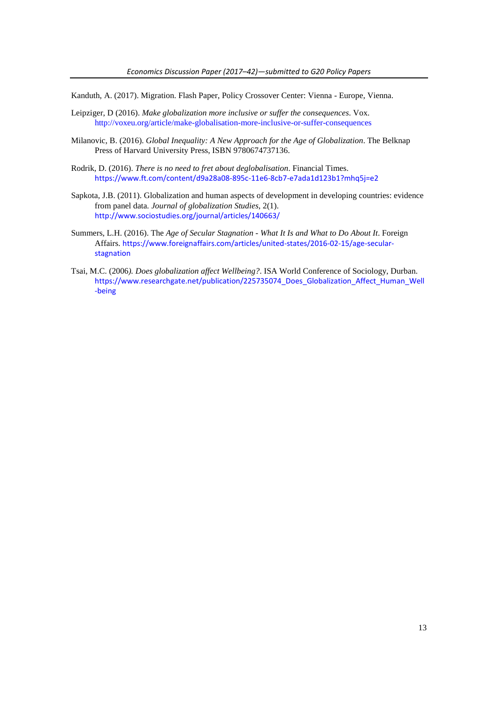Kanduth, A. (2017). Migration. Flash Paper, Policy Crossover Center: Vienna - Europe, Vienna.

- Leipziger, D (2016). *Make globalization more inclusive or suffer the consequences*. Vox. <http://voxeu.org/article/make-globalisation-more-inclusive-or-suffer-consequences>
- Milanovic, B. (2016). *Global Inequality: A New Approach for the Age of Globalization*. The Belknap Press of Harvard University Press, ISBN 9780674737136.
- Rodrik, D. (2016). *There is no need to fret about deglobalisation*. Financial Times. <https://www.ft.com/content/d9a28a08-895c-11e6-8cb7-e7ada1d123b1?mhq5j=e2>
- Sapkota, J.B. (2011). Globalization and human aspects of development in developing countries: evidence from panel data*. Journal of globalization Studies*, 2(1). <http://www.sociostudies.org/journal/articles/140663/>
- Summers, L.H. (2016). The *Age of Secular Stagnation - What It Is and What to Do About It*. Foreign Affairs. [https://www.foreignaffairs.com/articles/united-states/2016-02-15/age-secular](https://www.foreignaffairs.com/articles/united-states/2016-02-15/age-secular-stagnation)[stagnation](https://www.foreignaffairs.com/articles/united-states/2016-02-15/age-secular-stagnation)
- Tsai, M.C. (2006*). Does globalization affect Wellbeing?*. ISA World Conference of Sociology, Durban. [https://www.researchgate.net/publication/225735074\\_Does\\_Globalization\\_Affect\\_Human\\_Well](https://www.researchgate.net/publication/225735074_Does_Globalization_Affect_Human_Well-being) [-being](https://www.researchgate.net/publication/225735074_Does_Globalization_Affect_Human_Well-being)